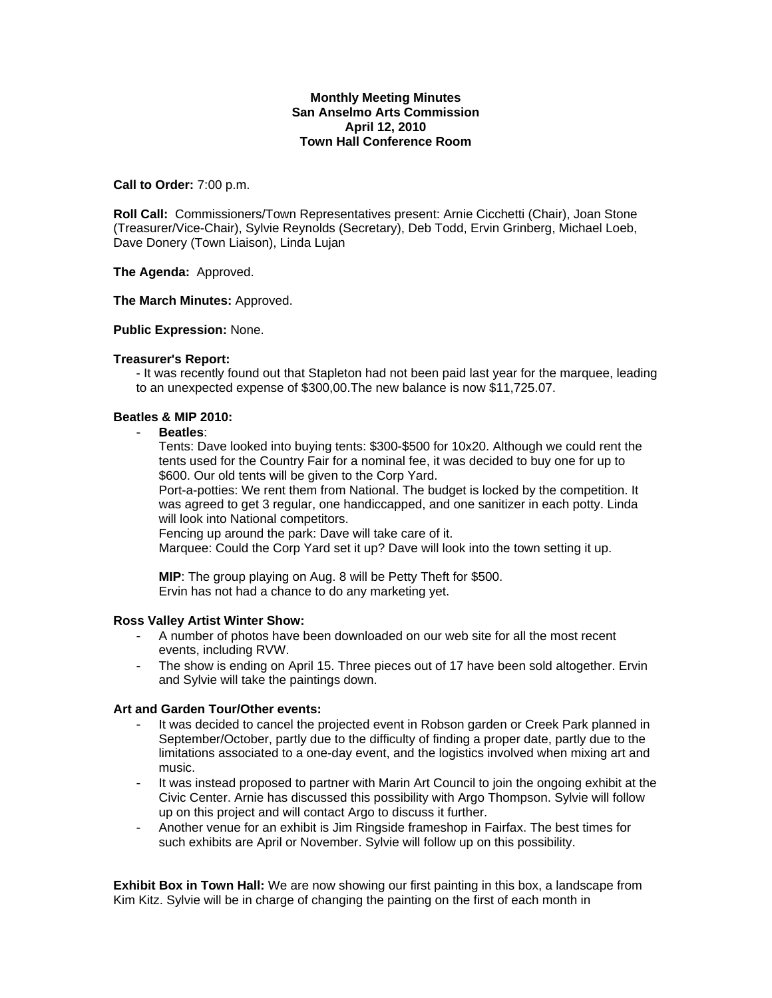## **Monthly Meeting Minutes San Anselmo Arts Commission April 12, 2010 Town Hall Conference Room**

### **Call to Order:** 7:00 p.m.

**Roll Call:** Commissioners/Town Representatives present: Arnie Cicchetti (Chair), Joan Stone (Treasurer/Vice-Chair), Sylvie Reynolds (Secretary), Deb Todd, Ervin Grinberg, Michael Loeb, Dave Donery (Town Liaison), Linda Lujan

**The Agenda:** Approved.

#### **The March Minutes:** Approved.

#### **Public Expression:** None.

#### **Treasurer's Report:**

- It was recently found out that Stapleton had not been paid last year for the marquee, leading to an unexpected expense of \$300,00.The new balance is now \$11,725.07.

## **Beatles & MIP 2010:**

- **Beatles**:

Tents: Dave looked into buying tents: \$300-\$500 for 10x20. Although we could rent the tents used for the Country Fair for a nominal fee, it was decided to buy one for up to \$600. Our old tents will be given to the Corp Yard.

Port-a-potties: We rent them from National. The budget is locked by the competition. It was agreed to get 3 regular, one handiccapped, and one sanitizer in each potty. Linda will look into National competitors.

Fencing up around the park: Dave will take care of it.

Marquee: Could the Corp Yard set it up? Dave will look into the town setting it up.

**MIP**: The group playing on Aug. 8 will be Petty Theft for \$500. Ervin has not had a chance to do any marketing yet.

## **Ross Valley Artist Winter Show:**

- A number of photos have been downloaded on our web site for all the most recent events, including RVW.
- The show is ending on April 15. Three pieces out of 17 have been sold altogether. Ervin and Sylvie will take the paintings down.

#### **Art and Garden Tour/Other events:**

- It was decided to cancel the projected event in Robson garden or Creek Park planned in September/October, partly due to the difficulty of finding a proper date, partly due to the limitations associated to a one-day event, and the logistics involved when mixing art and music.
- It was instead proposed to partner with Marin Art Council to join the ongoing exhibit at the Civic Center. Arnie has discussed this possibility with Argo Thompson. Sylvie will follow up on this project and will contact Argo to discuss it further.
- Another venue for an exhibit is Jim Ringside frameshop in Fairfax. The best times for such exhibits are April or November. Sylvie will follow up on this possibility.

**Exhibit Box in Town Hall:** We are now showing our first painting in this box, a landscape from Kim Kitz. Sylvie will be in charge of changing the painting on the first of each month in